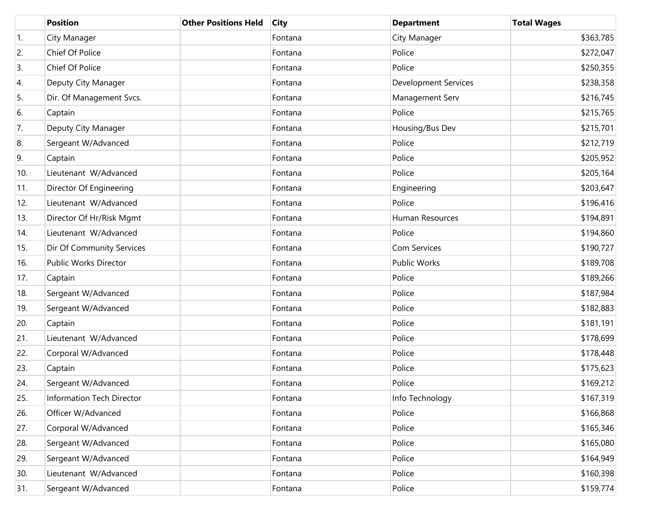|     | <b>Position</b>           | <b>Other Positions Held</b> | <b>City</b> | <b>Department</b>           | <b>Total Wages</b> |
|-----|---------------------------|-----------------------------|-------------|-----------------------------|--------------------|
| 1.  | City Manager              |                             | Fontana     | City Manager                | \$363,785          |
| 2.  | Chief Of Police           |                             | Fontana     | Police                      | \$272,047          |
| 3.  | Chief Of Police           |                             | Fontana     | Police                      | \$250,355          |
| 4.  | Deputy City Manager       |                             | Fontana     | <b>Development Services</b> | \$238,358          |
| 5.  | Dir. Of Management Svcs.  |                             | Fontana     | Management Serv             | \$216,745          |
| 6.  | Captain                   |                             | Fontana     | Police                      | \$215,765          |
| 7.  | Deputy City Manager       |                             | Fontana     | Housing/Bus Dev             | \$215,701          |
| 8.  | Sergeant W/Advanced       |                             | Fontana     | Police                      | \$212,719          |
| 9.  | Captain                   |                             | Fontana     | Police                      | \$205,952          |
| 10. | Lieutenant W/Advanced     |                             | Fontana     | Police                      | \$205,164          |
| 11. | Director Of Engineering   |                             | Fontana     | Engineering                 | \$203,647          |
| 12. | Lieutenant W/Advanced     |                             | Fontana     | Police                      | \$196,416          |
| 13. | Director Of Hr/Risk Mgmt  |                             | Fontana     | Human Resources             | \$194,891          |
| 14. | Lieutenant W/Advanced     |                             | Fontana     | Police                      | \$194,860          |
| 15. | Dir Of Community Services |                             | Fontana     | Com Services                | \$190,727          |
| 16. | Public Works Director     |                             | Fontana     | <b>Public Works</b>         | \$189,708          |
| 17. | Captain                   |                             | Fontana     | Police                      | \$189,266          |
| 18. | Sergeant W/Advanced       |                             | Fontana     | Police                      | \$187,984          |
| 19. | Sergeant W/Advanced       |                             | Fontana     | Police                      | \$182,883          |
| 20. | Captain                   |                             | Fontana     | Police                      | \$181,191          |
| 21. | Lieutenant W/Advanced     |                             | Fontana     | Police                      | \$178,699          |
| 22. | Corporal W/Advanced       |                             | Fontana     | Police                      | \$178,448          |
| 23. | Captain                   |                             | Fontana     | Police                      | \$175,623          |
| 24. | Sergeant W/Advanced       |                             | Fontana     | Police                      | \$169,212          |
| 25. | Information Tech Director |                             | Fontana     | Info Technology             | \$167,319          |
| 26. | Officer W/Advanced        |                             | Fontana     | Police                      | \$166,868          |
| 27. | Corporal W/Advanced       |                             | Fontana     | Police                      | \$165,346          |
| 28. | Sergeant W/Advanced       |                             | Fontana     | Police                      | \$165,080          |
| 29. | Sergeant W/Advanced       |                             | Fontana     | Police                      | \$164,949          |
| 30. | Lieutenant W/Advanced     |                             | Fontana     | Police                      | \$160,398          |
| 31. | Sergeant W/Advanced       |                             | Fontana     | Police                      | \$159,774          |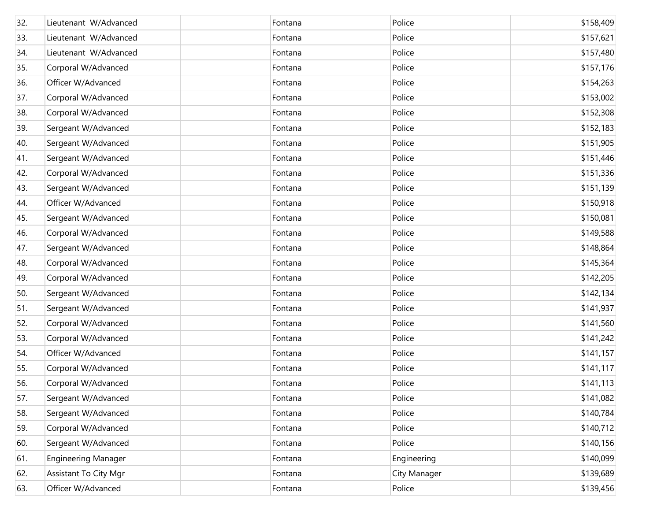| 32. | Lieutenant W/Advanced      | Fontana | Police       | \$158,409 |
|-----|----------------------------|---------|--------------|-----------|
| 33. | Lieutenant W/Advanced      | Fontana | Police       | \$157,621 |
| 34. | Lieutenant W/Advanced      | Fontana | Police       | \$157,480 |
| 35. | Corporal W/Advanced        | Fontana | Police       | \$157,176 |
| 36. | Officer W/Advanced         | Fontana | Police       | \$154,263 |
| 37. | Corporal W/Advanced        | Fontana | Police       | \$153,002 |
| 38. | Corporal W/Advanced        | Fontana | Police       | \$152,308 |
| 39. | Sergeant W/Advanced        | Fontana | Police       | \$152,183 |
| 40. | Sergeant W/Advanced        | Fontana | Police       | \$151,905 |
| 41. | Sergeant W/Advanced        | Fontana | Police       | \$151,446 |
| 42. | Corporal W/Advanced        | Fontana | Police       | \$151,336 |
| 43. | Sergeant W/Advanced        | Fontana | Police       | \$151,139 |
| 44. | Officer W/Advanced         | Fontana | Police       | \$150,918 |
| 45. | Sergeant W/Advanced        | Fontana | Police       | \$150,081 |
| 46. | Corporal W/Advanced        | Fontana | Police       | \$149,588 |
| 47. | Sergeant W/Advanced        | Fontana | Police       | \$148,864 |
| 48. | Corporal W/Advanced        | Fontana | Police       | \$145,364 |
| 49. | Corporal W/Advanced        | Fontana | Police       | \$142,205 |
| 50. | Sergeant W/Advanced        | Fontana | Police       | \$142,134 |
| 51. | Sergeant W/Advanced        | Fontana | Police       | \$141,937 |
| 52. | Corporal W/Advanced        | Fontana | Police       | \$141,560 |
| 53. | Corporal W/Advanced        | Fontana | Police       | \$141,242 |
| 54. | Officer W/Advanced         | Fontana | Police       | \$141,157 |
| 55. | Corporal W/Advanced        | Fontana | Police       | \$141,117 |
| 56. | Corporal W/Advanced        | Fontana | Police       | \$141,113 |
| 57. | Sergeant W/Advanced        | Fontana | Police       | \$141,082 |
| 58. | Sergeant W/Advanced        | Fontana | Police       | \$140,784 |
| 59. | Corporal W/Advanced        | Fontana | Police       | \$140,712 |
| 60. | Sergeant W/Advanced        | Fontana | Police       | \$140,156 |
| 61. | <b>Engineering Manager</b> | Fontana | Engineering  | \$140,099 |
| 62. | Assistant To City Mgr      | Fontana | City Manager | \$139,689 |
| 63. | Officer W/Advanced         | Fontana | Police       | \$139,456 |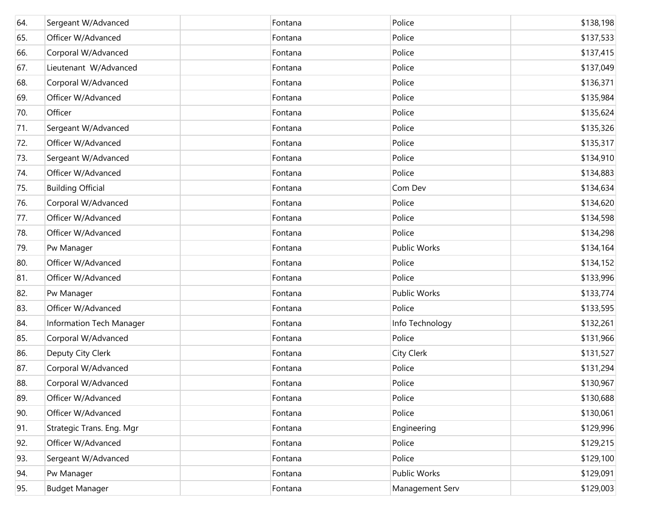| 64. | Sergeant W/Advanced       | Fontana | Police          | \$138,198 |
|-----|---------------------------|---------|-----------------|-----------|
| 65. | Officer W/Advanced        | Fontana | Police          | \$137,533 |
| 66. | Corporal W/Advanced       | Fontana | Police          | \$137,415 |
| 67. | Lieutenant W/Advanced     | Fontana | Police          | \$137,049 |
| 68. | Corporal W/Advanced       | Fontana | Police          | \$136,371 |
| 69. | Officer W/Advanced        | Fontana | Police          | \$135,984 |
| 70. | Officer                   | Fontana | Police          | \$135,624 |
| 71. | Sergeant W/Advanced       | Fontana | Police          | \$135,326 |
| 72. | Officer W/Advanced        | Fontana | Police          | \$135,317 |
| 73. | Sergeant W/Advanced       | Fontana | Police          | \$134,910 |
| 74. | Officer W/Advanced        | Fontana | Police          | \$134,883 |
| 75. | <b>Building Official</b>  | Fontana | Com Dev         | \$134,634 |
| 76. | Corporal W/Advanced       | Fontana | Police          | \$134,620 |
| 77. | Officer W/Advanced        | Fontana | Police          | \$134,598 |
| 78. | Officer W/Advanced        | Fontana | Police          | \$134,298 |
| 79. | Pw Manager                | Fontana | Public Works    | \$134,164 |
| 80. | Officer W/Advanced        | Fontana | Police          | \$134,152 |
| 81. | Officer W/Advanced        | Fontana | Police          | \$133,996 |
| 82. | Pw Manager                | Fontana | Public Works    | \$133,774 |
| 83. | Officer W/Advanced        | Fontana | Police          | \$133,595 |
| 84. | Information Tech Manager  | Fontana | Info Technology | \$132,261 |
| 85. | Corporal W/Advanced       | Fontana | Police          | \$131,966 |
| 86. | Deputy City Clerk         | Fontana | City Clerk      | \$131,527 |
| 87. | Corporal W/Advanced       | Fontana | Police          | \$131,294 |
| 88. | Corporal W/Advanced       | Fontana | Police          | \$130,967 |
| 89. | Officer W/Advanced        | Fontana | Police          | \$130,688 |
| 90. | Officer W/Advanced        | Fontana | Police          | \$130,061 |
| 91. | Strategic Trans. Eng. Mgr | Fontana | Engineering     | \$129,996 |
| 92. | Officer W/Advanced        | Fontana | Police          | \$129,215 |
| 93. | Sergeant W/Advanced       | Fontana | Police          | \$129,100 |
| 94. | Pw Manager                | Fontana | Public Works    | \$129,091 |
| 95. | <b>Budget Manager</b>     | Fontana | Management Serv | \$129,003 |